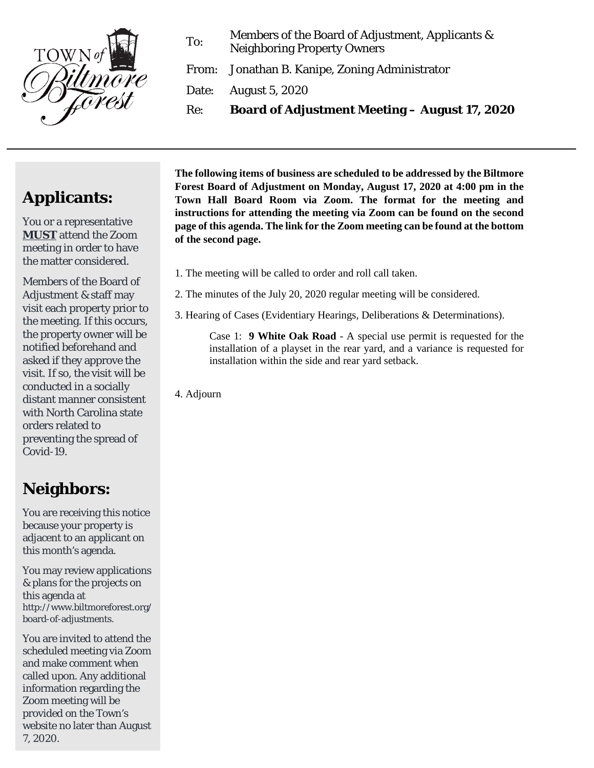

To: Members of the Board of Adjustment, Applicants & Neighboring Property Owners

From: Jonathan B. Kanipe, Zoning Administrator

Date: August 5, 2020

Re: **Board of Adjustment Meeting – August 17, 2020**

## **Applicants:**

You or a representative **MUST** attend the Zoom meeting in order to have the matter considered.

Members of the Board of Adjustment & staff may visit each property prior to the meeting. If this occurs, the property owner will be notified beforehand and asked if they approve the visit. If so, the visit will be conducted in a socially distant manner consistent with North Carolina state orders related to preventing the spread of Covid-19.

## **Neighbors:**

You are receiving this notice because your property is adjacent to an applicant on this month's agenda.

You may review applications & plans for the projects on this agenda at http://www.biltmoreforest.org/ board-of-adjustments.

You are invited to attend the scheduled meeting via Zoom and make comment when called upon. Any additional information regarding the Zoom meeting will be provided on the Town's website no later than August 7, 2020.

**The following items of business are scheduled to be addressed by the Biltmore Forest Board of Adjustment on Monday, August 17, 2020 at 4:00 pm in the Town Hall Board Room via Zoom. The format for the meeting and instructions for attending the meeting via Zoom can be found on the second page of this agenda. The link for the Zoom meeting can be found at the bottom of the second page.**

- 1. The meeting will be called to order and roll call taken.
- 2. The minutes of the July 20, 2020 regular meeting will be considered.
- 3. Hearing of Cases (Evidentiary Hearings, Deliberations & Determinations).

Case 1: **9 White Oak Road** - A special use permit is requested for the installation of a playset in the rear yard, and a variance is requested for installation within the side and rear yard setback.

4. Adjourn